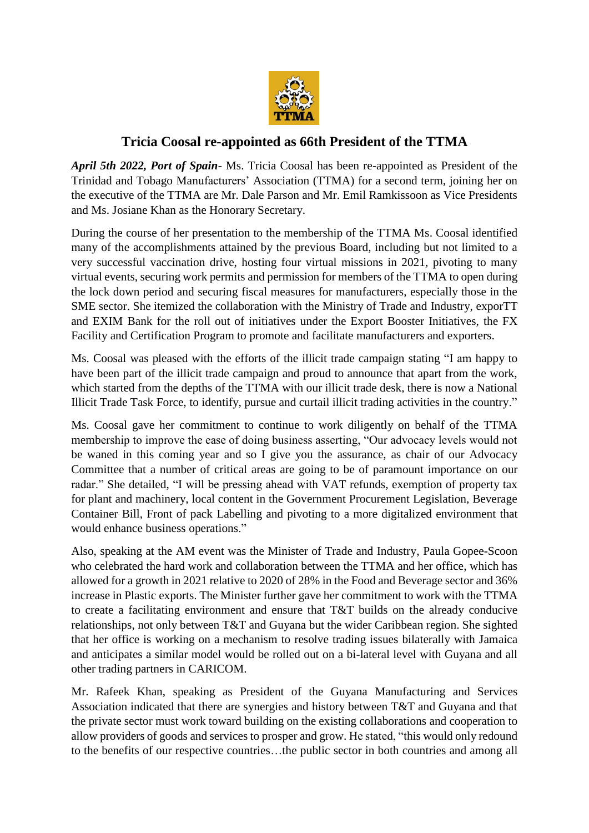

## **Tricia Coosal re-appointed as 66th President of the TTMA**

*April 5th 2022, Port of Spain*- Ms. Tricia Coosal has been re-appointed as President of the Trinidad and Tobago Manufacturers' Association (TTMA) for a second term, joining her on the executive of the TTMA are Mr. Dale Parson and Mr. Emil Ramkissoon as Vice Presidents and Ms. Josiane Khan as the Honorary Secretary.

During the course of her presentation to the membership of the TTMA Ms. Coosal identified many of the accomplishments attained by the previous Board, including but not limited to a very successful vaccination drive, hosting four virtual missions in 2021, pivoting to many virtual events, securing work permits and permission for members of the TTMA to open during the lock down period and securing fiscal measures for manufacturers, especially those in the SME sector. She itemized the collaboration with the Ministry of Trade and Industry, exporTT and EXIM Bank for the roll out of initiatives under the Export Booster Initiatives, the FX Facility and Certification Program to promote and facilitate manufacturers and exporters.

Ms. Coosal was pleased with the efforts of the illicit trade campaign stating "I am happy to have been part of the illicit trade campaign and proud to announce that apart from the work, which started from the depths of the TTMA with our illicit trade desk, there is now a National Illicit Trade Task Force, to identify, pursue and curtail illicit trading activities in the country."

Ms. Coosal gave her commitment to continue to work diligently on behalf of the TTMA membership to improve the ease of doing business asserting, "Our advocacy levels would not be waned in this coming year and so I give you the assurance, as chair of our Advocacy Committee that a number of critical areas are going to be of paramount importance on our radar." She detailed, "I will be pressing ahead with VAT refunds, exemption of property tax for plant and machinery, local content in the Government Procurement Legislation, Beverage Container Bill, Front of pack Labelling and pivoting to a more digitalized environment that would enhance business operations."

Also, speaking at the AM event was the Minister of Trade and Industry, Paula Gopee-Scoon who celebrated the hard work and collaboration between the TTMA and her office, which has allowed for a growth in 2021 relative to 2020 of 28% in the Food and Beverage sector and 36% increase in Plastic exports. The Minister further gave her commitment to work with the TTMA to create a facilitating environment and ensure that T&T builds on the already conducive relationships, not only between T&T and Guyana but the wider Caribbean region. She sighted that her office is working on a mechanism to resolve trading issues bilaterally with Jamaica and anticipates a similar model would be rolled out on a bi-lateral level with Guyana and all other trading partners in CARICOM.

Mr. Rafeek Khan, speaking as President of the Guyana Manufacturing and Services Association indicated that there are synergies and history between T&T and Guyana and that the private sector must work toward building on the existing collaborations and cooperation to allow providers of goods and services to prosper and grow. He stated, "this would only redound to the benefits of our respective countries…the public sector in both countries and among all